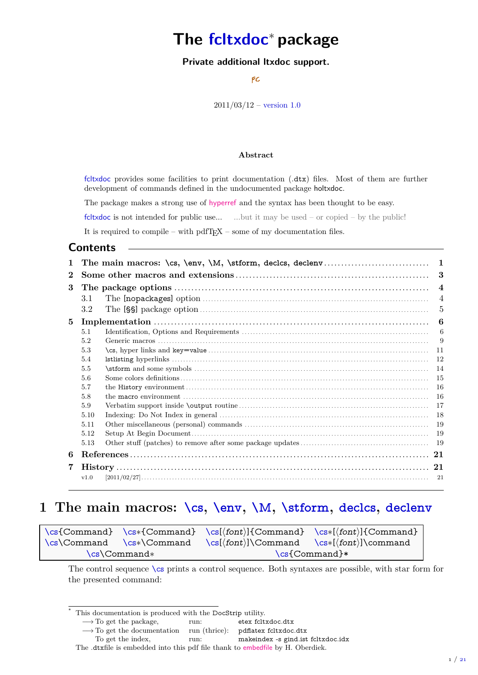# **The fcltxdoc**<sup>∗</sup> **package**

### **Private additional ltxdoc support.**

FC

 $2011/03/12$  – [version 1.0](#page-20-0)

#### **Abstract**

fcltxdoc provides some facilities to print documentation (.dtx) files. Most of them are further development of commands defined in the undocumented package holtxdoc.

The package makes a strong use of [hyperref](http://www.ctan.org/tex-archive/help/Catalogue/entries/hyperref.html) and the syntax has been thought to be easy.

fcltxdoc is not intended for public use... ...but it may be used – or copied – by the public!

It is required to compile – with pdfTEX – some of my documentation files.

### **Contents**

| 1        |         |                  | 1              |  |  |  |
|----------|---------|------------------|----------------|--|--|--|
| $\bf{2}$ | 3       |                  |                |  |  |  |
| 3        |         | $\boldsymbol{4}$ |                |  |  |  |
|          | 3.1     |                  | $\overline{4}$ |  |  |  |
|          | $3.2\,$ |                  | 5              |  |  |  |
| 5        |         |                  | 6              |  |  |  |
|          | 5.1     |                  | 6              |  |  |  |
|          | 5.2     |                  | -9             |  |  |  |
|          | 5.3     |                  | 11             |  |  |  |
|          | 5.4     |                  | 12             |  |  |  |
|          | 5.5     |                  | 14             |  |  |  |
|          | 5.6     |                  | 15             |  |  |  |
|          | 5.7     |                  | 16             |  |  |  |
|          | 5.8     |                  | 16             |  |  |  |
|          | 5.9     |                  | 17             |  |  |  |
|          | 5.10    |                  | -18            |  |  |  |
|          | 5.11    |                  | 19             |  |  |  |
|          | 5.12    |                  | 19             |  |  |  |
|          | 5.13    |                  | -19            |  |  |  |
| 6        |         |                  |                |  |  |  |
| 7        |         |                  |                |  |  |  |
|          | v1.0    |                  |                |  |  |  |

# <span id="page-0-0"></span>**1 The main macros: [\cs](#page-0-1), [\env](#page-1-0), [\M](#page-1-1), [\stform](#page-2-0), [declcs](#page-2-1), [declenv](#page-2-2)**

<span id="page-0-1"></span>

|              |                               |                                                       | $\csc{Command} \csc{Command} \csc{font}$ (command) $\csc{front} \csc{font}$ |  |
|--------------|-------------------------------|-------------------------------------------------------|-----------------------------------------------------------------------------|--|
|              | $\csc$ Command $\csc$ Command | $\csc(\text{font})\Command \csc(\text{font})\command$ |                                                                             |  |
| \cs\Command* |                               | $\csc{Command}$                                       |                                                                             |  |

The control sequence [\cs](#page-0-1) prints a control sequence. Both syntaxes are possible, with star form for the presented command:

To get the index, Tun: makeindex -s gind.ist fcltxdoc.idx

This documentation is produced with the DocStrip utility.

<sup>−→</sup> To get the package, run: etex fcltxdoc.dtx

 $\longrightarrow$  To get the documentation  $\quad$  run (thrice):  $\quad$  pdflatex fcltxdoc.dtx

The .dtxfile is embedded into this pdf file thank to [embedfile](http://www.ctan.org/tex-archive/help/Catalogue/entries/embedfile.html) by H. Oberdiek.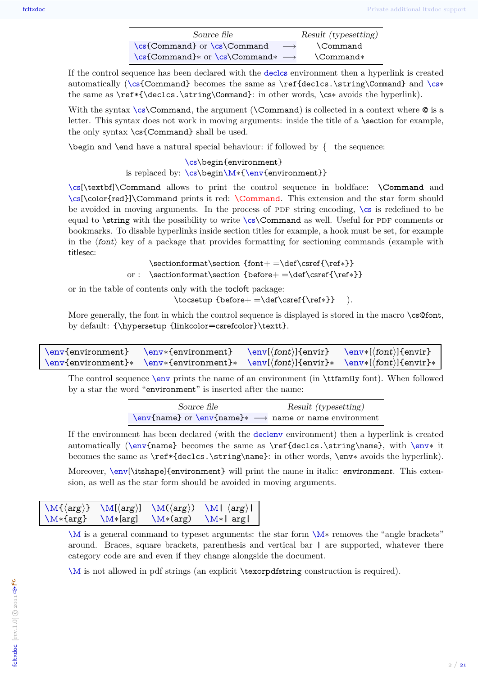| Source file                                      | Result (typesetting) |
|--------------------------------------------------|----------------------|
| $\cs{Command}$ or $\cs{Command}$                 | <b>Command</b>       |
| $\csc{Command} * or \csc{Command} * \rightarrow$ | $\mathrm{Command}^*$ |

If the control sequence has been declared with the [declcs](#page-2-1) environment then a hyperlink is created automatically ([\cs{](#page-0-1)Command} becomes the same as \ref{declcs.\string\Command} and [\cs](#page-0-1)∗ the same as \ref\*{\declcs.\string\Command}: in other words, \cs∗ avoids the hyperlink).

With the syntax [\cs\](#page-0-1)Command, the argument (\Command) is collected in a context where  $\Phi$  is a letter. This syntax does not work in moving arguments: inside the title of a \section for example, the only syntax \cs{Command} shall be used.

 $\begin{array}{c} \begin{array}{c} \text{begin and } \text{end} \end{array}$ 

#### [\cs\](#page-0-1)begin{environment} is replaced by: [\cs\](#page-0-1)begi[n\M](#page-1-1)\*[{\env{](#page-1-0)environment}}

[\cs\[](#page-0-1)\textbf]\Command allows to print the control sequence in boldface: **\Command** and [\cs\[](#page-0-1)\color{red}]\Command prints it red: \Command. This extension and the star form should be avoided in moving arguments. In the process of PDF string encoding,  $\operatorname{cs}$  is redefined to be equal to  $\string$  with the possibility to write  $\cs{\Command}$  as well. Useful for PDF comments or bookmarks. To disable hyperlinks inside section titles for example, a hook must be set, for example in the  $\langle$ font $\rangle$  key of a package that provides formatting for sectioning commands (example with titlesec:

> \sectionformat\section {font+ =\def\csref{\ref∗}} or : \sectionformat\section {before+ =\def\csref{\ref∗}}

or in the table of contents only with the tocloft package:

\tocsetup {before+ =\def\csref{\ref∗}} ).

More generally, the font in which the control sequence is displayed is stored in the macro \cs@font, by default: {\hypersetup {linkcolor=csrefcolor}\textt}.

<span id="page-1-0"></span>

| $\env{environment}$ \env*{environment} \env[\font\]{envir} \env*{\font\]{envir}                    |  |
|----------------------------------------------------------------------------------------------------|--|
| $\env{environment} * \env{environment} * \env{(font){\envir} * \env{(font)}\{envr}( \non{font})\}$ |  |

The control sequence [\env](#page-1-0) prints the name of an environment (in \ttfamily font). When followed by a star the word "environment" is inserted after the name:

> Source file Result (typesetting) [\env{](#page-1-0)name} or [\env{](#page-1-0)name}∗ −→ name or name environment

If the environment has been declared (with the [declenv](#page-2-2) environment) then a hyperlink is created automatically ([\env{](#page-1-0)name} becomes the same as \ref{declcs.\string\name}, with [\env](#page-1-0)∗ it becomes the same as \ref\*{declcs.\string\name}: in other words, \env∗ avoids the hyperlink).

Moreover, [\env\[](#page-1-0)\itshape]{environment} will print the name in italic: environment. This extension, as well as the star form should be avoided in moving arguments.

<span id="page-1-1"></span>

| $\M{arg}$  | $\mathcal{M}[\langle arg \rangle]$ |            | $\M(\langle arg \rangle) \ M \langle arg \rangle$ |
|------------|------------------------------------|------------|---------------------------------------------------|
| $\M*{arg}$ | $\M*[arg]$                         | $\M*(arg)$ | $\M* arg $                                        |

[\M](#page-1-1) is a general command to typeset arguments: the star form [\M](#page-1-1)∗ removes the "angle brackets" around. Braces, square brackets, parenthesis and vertical bar **|** are supported, whatever there category code are and even if they change alongside the document.

[\M](#page-1-1) is not allowed in pdf strings (an explicit \texorpdfstring construction is required).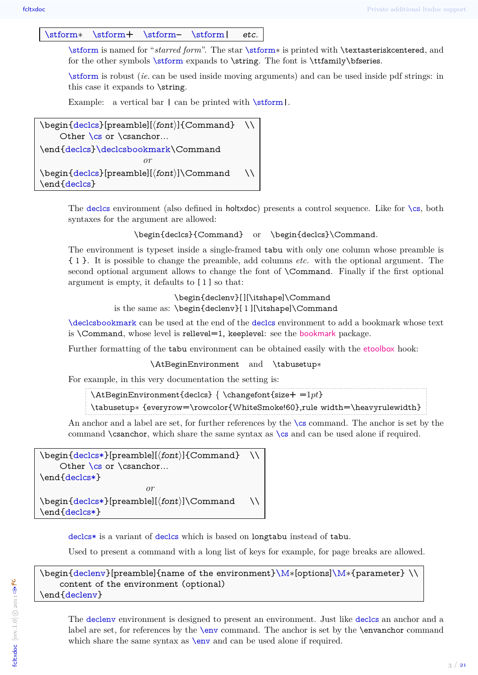<span id="page-2-0"></span>[\stform](#page-2-0)∗ [\stform](#page-2-0)**+** [\stform](#page-2-0)**–** [\stform](#page-2-0)**|** etc.

[\stform](#page-2-0) is named for "*starred form*". The star [\stform](#page-2-0)∗ is printed with \textasteriskcentered, and for the other symbols [\stform](#page-2-0) expands to \string. The font is \ttfamily\bfseries.

[\stform](#page-2-0) is robust (*ie.* can be used inside moving arguments) and can be used inside pdf strings: in this case it expands to \string.

<span id="page-2-3"></span><span id="page-2-1"></span>Example: a vertical bar **|** can be printed with [\stform](#page-2-0)**|**.

```
\begin{equation} \begin{bmatrix} \text{dec} \\ \text{preamble} \end{bmatrix} \end{equation}Other \cs{\text{ or } \cs{\text{.}}\dots\end{declcs}\declcsbookmark\Command
                                        or
\begin{equation*} \begin{array}{c} \texttt{declos}[preambel] (\text{font})] \text{Command} \end{array} \end{equation*}\end{declcs}
```
The [declcs](#page-2-1) environment (also defined in holtxdoc) presents a control sequence. Like for [\cs](#page-0-1), both syntaxes for the argument are allowed:

\begin{declcs}{Command} or \begin{declcs}\Command.

The environment is typeset inside a single-framed tabu with only one column whose preamble is { l }. It is possible to change the preamble, add columns *etc.* with the optional argument. The second optional argument allows to change the font of \Command. Finally if the first optional argument is empty, it defaults to [ l ] so that:

> \begin{declenv}[ ][\itshape]\Command is the same as: \begin{declenv}[ l ][\itshape]\Command

[\declcsbookmark](#page-2-3) can be used at the end of the [declcs](#page-2-1) environment to add a bookmark whose text is  $\mathrm{Command}$ , whose level is rellevel=1, keeplevel: see the [bookmark](http://www.ctan.org/tex-archive/help/Catalogue/entries/bookmark.html) package.

Further formatting of the tabu environment can be obtained easily with the [etoolbox](http://www.ctan.org/tex-archive/help/Catalogue/entries/etoolbox.html) hook:

\AtBeginEnvironment and \tabusetup∗

For example, in this very documentation the setting is:

\AtBeginEnvironment{declcs} { \changefont{size**+** =1*pt*} \tabusetup∗ {everyrow=\rowcolor{WhiteSmoke!60},rule width=\heavyrulewidth}

<span id="page-2-4"></span>An anchor and a label are set, for further references by the  $\csc$  $\csc$  command. The anchor is set by the command \csanchor, which share the same syntax as [\cs](#page-0-1) and can be used alone if required.

```
\begin{equation*} \begin{bmatrix} \text{decless*} [\text{preamble}](\text{font})] \end{bmatrix} \end{equation*}Other \csin or \csin chor...
\end{declcs*}
                                     or
{declcs*} \begin{array}{c} \text{breamble} \end{array} \end{cases}\end{declcs*}
```
[declcs\\*](#page-2-4) is a variant of [declcs](#page-2-1) which is based on longtabu instead of tabu.

<span id="page-2-2"></span>Used to present a command with a long list of keys for example, for page breaks are allowed.

### \begin[{declenv}](#page-2-2)[preamble]{name of the environment[}\M](#page-1-1)∗[options[\]\M](#page-1-1)∗{parameter} \\ content of the environment (optional) \end[{declenv}](#page-2-2)

The [declenv](#page-2-2) environment is designed to present an environment. Just like [declcs](#page-2-1) an anchor and a label are set, for references by the [\env](#page-1-0) command. The anchor is set by the \envanchor command which share the same syntax as  $\text{env}$  and can be used alone if required.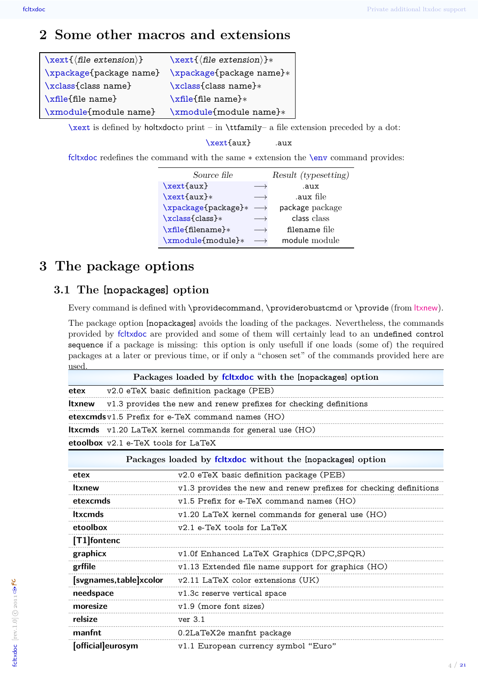## <span id="page-3-0"></span>**2 Some other macros and extensions**

<span id="page-3-6"></span><span id="page-3-5"></span><span id="page-3-4"></span><span id="page-3-3"></span>

| $\text{Text} {\langle} file \ extension {\rangle}$ | $\text{Text}(\text{file extension})$ * |
|----------------------------------------------------|----------------------------------------|
| \xpackage{package name}                            | \xpackage{package name}*               |
| \xclass{class name}                                | \xclass{class name}*                   |
| \xfile{file name}                                  | \xfile{file name}*                     |
| \xmodule{module name}                              | \xmodule{module name}*                 |

<span id="page-3-7"></span>[\xext](#page-3-3) is defined by holtxdocto print – in \ttfamily– a file extension preceded by a dot:

[\xext{](#page-3-3)aux} .aux

fcltxdoc redefines the command with the same ∗ extension the [\env](#page-1-0) command provides:

| Source file         |                   | Result (typesetting) |
|---------------------|-------------------|----------------------|
| \xext{aux}          |                   | .aux                 |
| $\xext{aux}$        |                   | .aux file            |
| \xpackage{package}* |                   | package package      |
| \xclass{class}*     | $\longrightarrow$ | class class          |
| \xfile{filename}*   |                   | filename file        |
| \xmodule{module}*   |                   | module module        |

## <span id="page-3-1"></span>**3 The package options**

## <span id="page-3-2"></span>**3.1 The [nopackages] option**

**moresize** v1.9 (more font sizes)

**manfnt** 0.2LaTeX2e manfnt package

**[official]eurosym** v1.1 European currency symbol "Euro"

**relsize** ver 3.1

Every command is defined with **\providecommand**, **\providerobustcmd** or **\provide** (from [ltxnew](http://www.ctan.org/tex-archive/help/Catalogue/entries/ltxnew.html)).

The package option [nopackages] avoids the loading of the packages. Nevertheless, the commands provided by fcltxdoc are provided and some of them will certainly lead to an undefined control sequence if a package is missing: this option is only usefull if one loads (some of) the required packages at a later or previous time, or if only a "chosen set" of the commands provided here are used.

| used           |                                       |                                                                   |  |  |
|----------------|---------------------------------------|-------------------------------------------------------------------|--|--|
|                |                                       | Packages loaded by foltxdoc with the [nopackages] option          |  |  |
| etex           |                                       | v2.0 eTeX basic definition package (PEB)                          |  |  |
| <b>Itxnew</b>  |                                       | v1.3 provides the new and renew prefixes for checking definitions |  |  |
|                |                                       | etexcmds $v1.5$ Prefix for e-TeX command names $(HO)$             |  |  |
|                |                                       | <b>Itxcmds</b> v1.20 LaTeX kernel commands for general use (HO)   |  |  |
|                | etoolbox $v2.1$ e-TeX tools for LaTeX |                                                                   |  |  |
|                |                                       | Packages loaded by foltxdoc without the [nopackages] option       |  |  |
| etex           |                                       | v2.0 eTeX basic definition package (PEB)                          |  |  |
| <b>Itxnew</b>  |                                       | v1.3 provides the new and renew prefixes for checking definitions |  |  |
| etexcmds       |                                       | $v1.5$ Prefix for e-TeX command names $(HO)$                      |  |  |
| <b>Itxcmds</b> |                                       | v1.20 LaTeX kernel commands for general use (HO)                  |  |  |
| etoolbox       |                                       | v2.1 e-TeX tools for LaTeX                                        |  |  |
| [T1] fontenc   |                                       |                                                                   |  |  |
| graphicx       |                                       | v1.0f Enhanced LaTeX Graphics (DPC,SPQR)                          |  |  |
| grffile        |                                       | v1.13 Extended file name support for graphics (HO)                |  |  |
|                | [svgnames,table]xcolor                | v2.11 LaTeX color extensions (UK)                                 |  |  |
| needspace      |                                       | v1.3c reserve vertical space                                      |  |  |
|                |                                       |                                                                   |  |  |

··············································································································································································································

··············································································································································································································

··············································································································································································································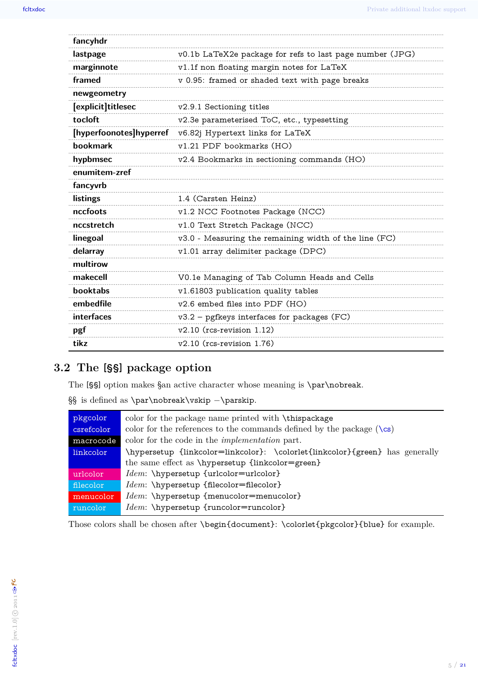| fancyhdr                |                                                          |
|-------------------------|----------------------------------------------------------|
| lastpage                | v0.1b LaTeX2e package for refs to last page number (JPG) |
| marginnote              | v1.1f non floating margin notes for LaTeX                |
| framed                  | v 0.95: framed or shaded text with page breaks           |
| newgeometry             |                                                          |
| [explicit]titlesec      | v2.9.1 Sectioning titles                                 |
| tocloft                 | v2.3e parameterised ToC, etc., typesetting               |
| [hyperfoonotes]hyperref | v6.82j Hypertext links for LaTeX                         |
| bookmark                | v1.21 PDF bookmarks (HO)                                 |
| hypbmsec                | v2.4 Bookmarks in sectioning commands (HO)               |
| enumitem-zref           |                                                          |
| fancyvrb                |                                                          |
| listings                | 1.4 (Carsten Heinz)                                      |
| nccfoots                | v1.2 NCC Footnotes Package (NCC)                         |
| nccstretch              | v1.0 Text Stretch Package (NCC)                          |
| linegoal                | v3.0 - Measuring the remaining width of the line (FC)    |
| delarray                | v1.01 array delimiter package (DPC)                      |
| multirow                |                                                          |
| makecell                | V0.1e Managing of Tab Column Heads and Cells             |
| booktabs                | v1.61803 publication quality tables                      |
| embedfile               | v2.6 embed files into PDF (HO)                           |
| interfaces              | $v3.2$ – pgfkeys interfaces for packages (FC)            |
| pgf                     | $v2.10$ (rcs-revision 1.12)                              |
| tikz                    | $v2.10$ (rcs-revision 1.76)                              |

## <span id="page-4-0"></span>3.2 The [§§] package option

The  $[\S\$  option makes  $\$ an active character whose meaning is **\par\nobreak**.

 $\S\S$  is defined as \par\nobreak\vskip -\parskip.

| pkgcolor   | color for the package name printed with \thispackage                         |  |  |  |
|------------|------------------------------------------------------------------------------|--|--|--|
| csrefcolor | color for the references to the commands defined by the package $(\csc)$     |  |  |  |
| macrocode  | color for the code in the <i>implementation</i> part.                        |  |  |  |
| linkcolor  | \hypersetup {linkcolor=linkcolor}: \colorlet{linkcolor}{green} has generally |  |  |  |
|            | the same effect as \hypersetup {linkcolor=green}                             |  |  |  |
| urlcolor   | <i>Idem</i> : \hypersetup {urlcolor=urlcolor}                                |  |  |  |
| filecolor  | $Idem: \hbox{\tt \hbox{hypersetup-filecolor=filecolor}}$                     |  |  |  |
| menucolor  | <i>Idem</i> : \hypersetup {menucolor=menucolor}                              |  |  |  |
| runcolor   | <i>Idem</i> : \hypersetup {runcolor=runcolor}                                |  |  |  |

Those colors shall be chosen after \begin{document}: \colorlet{pkgcolor}{blue} for example.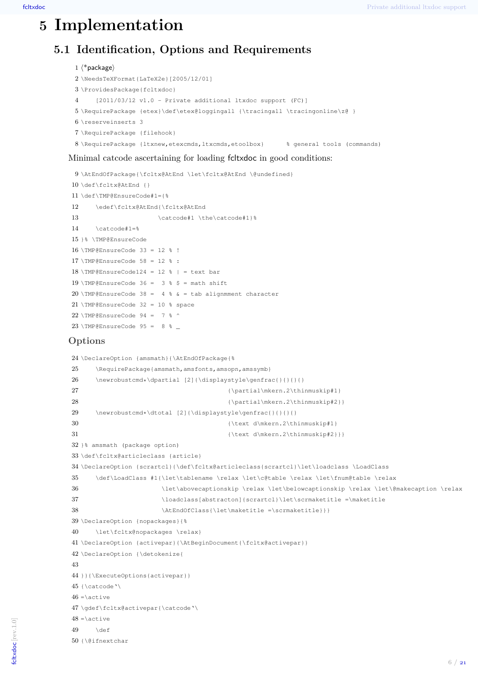# **Implementation**

## <span id="page-5-1"></span><span id="page-5-0"></span>**5.1 Identification, Options and Requirements**

```
1 \langle*package\rangle2 \NeedsTeXFormat{LaTeX2e}[2005/12/01]
3 \ProvidesPackage{fcltxdoc}
4 [2011/03/12 v1.0 - Private additional ltxdoc support (FC)]
5 \RequirePackage {etex}\def\etex@loggingall {\tracingall \tracingonline\z@ }
6 \reserveinserts 3
7 \RequirePackage {filehook}
8 \RequirePackage {ltxnew,etexcmds,ltxcmds,etoolbox} % general tools (commands)
```
#### Minimal catcode ascertaining for loading fcltxdoc in good conditions:

```
9 \AtEndOfPackage{\fcltx@AtEnd \let\fcltx@AtEnd \@undefined}
10 \def\fcltx@AtEnd {}
11 \def\TMP@EnsureCode#1={%
12 \edef\fcltx@AtEnd{\fcltx@AtEnd
13 \catcode#1 \the\catcode#1}%
14 \catcode#1=%
15 }% \TMP@EnsureCode
16 \setminus \text{TMP@EnsureCode } 33 = 12 % !17 \TMP@EnsureCode 58 = 12 % :
18 \text{ MP}@EnsureCode124 = 12 % | = text bar
19 \TMP@EnsureCode 36 = 3 % $ = math shift
20 \text{ }\PsiEnsureCode 38 = 4 % & = tab alignmment character
21 \timesPMP@EnsureCode 32 = 10 % space
22 \timesTMP@EnsureCode 94 = 7 % ^
23 \text{MP@EnsureCode } 95 = 8 %
```
### **Options**

```
24 \DeclareOption {amsmath}{\AtEndOfPackage{%
25 \RequirePackage{amsmath,amsfonts,amsopn,amssymb}
26 \newrobustcmd*\dpartial [2]{\displaystyle\genfrac{}{}{}{}
27 {\partial\mho.2\thinmuskip#1}28 {\partial\mkern.2\thinmuskip#2}}
29 \newrobustcmd*\dtotal [2]{\displaystyle\genfrac{}{}{}{}
30 {\text d\mkern.2\thinmuskip#1}
31 {\text d\mkern.2\thinmuskip#2}}}
32 }% amsmath (package option)
33 \def\fcltx@articleclass {article}
34 \DeclareOption {scrartcl}{\def\fcltx@articleclass{scrartcl}\let\loadclass \LoadClass
35 \def\LoadClass #1{\let\tablename \relax \let\c@table \relax \let\fnum@table \relax
36 \let\abovecaptionskip \relax \let\belowcaptionskip \relax \let\@makecaption \relax
37 \loadclass[abstracton]{scrartcl}\let\scrmaketitle =\maketitle
38 \AtEndOfClass{\let\maketitle =\scrmaketitle}}}
39 \DeclareOption {nopackages}{%
40 \let\fcltx@nopackages \relax}
41 \DeclareOption {activepar}{\AtBeginDocument{\fcltx@activepar}}
42 \DeclareOption {\detokenize{
43
44 }}{\ExecuteOptions{activepar}}
45 {\catcode'\
46 = \text{active}47 \gdef\fcltx@activepar{\catcode'\
48 = \text{active}49 \def
50 {\@ifnextchar
```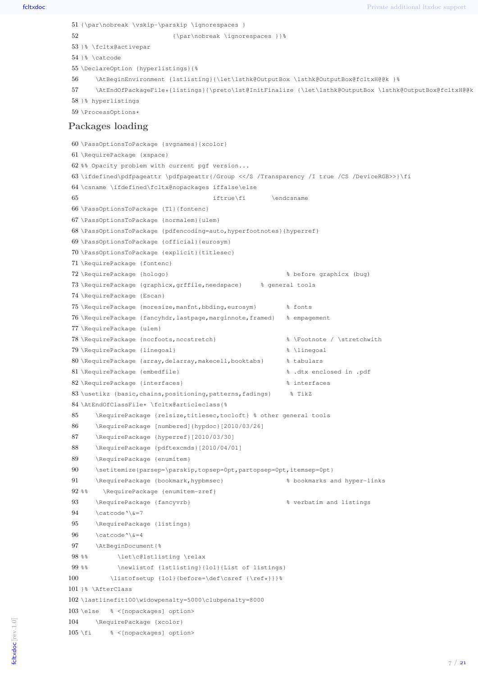```
51 {\par\nobreak \vskip-\parskip \ignorespaces }
52 {\par\nobreak \ignorespaces }}
53 }% \fcltx@activepar
54 }% \catcode
55 \DeclareOption {hyperlistings}{%
56 \AtBeginEnvironment {lstlisting}{\let\lsthk@OutputBox \lsthk@OutputBox@fcltxH@@k }%
57 \AtEndOfPackageFile*{listings}{\preto\lst@InitFinalize {\let\lsthk@OutputBox \lsthk@OutputBox@fcltxH@@k }}%
58 }% hyperlistings
59 \ProcessOptions*
Packages loading
60 \PassOptionsToPackage {svgnames}{xcolor}
61 \RequirePackage {xspace}
62 %% Opacity problem with current pgf version...
63 \ifdefined\pdfpageattr \pdfpageattr{/Group <</S /Transparency /I true /CS /DeviceRGB>>}\fi
64 \csname \ifdefined\fcltx@nopackages iffalse\else
65 iftrue\fi \endcsname
66 \PassOptionsToPackage {T1}{fontenc}
67 \PassOptionsToPackage {normalem}{ulem}
68 \PassOptionsToPackage {pdfencoding=auto,hyperfootnotes}{hyperref}
69 \PassOptionsToPackage {official}{eurosym}
70 \PassOptionsToPackage {explicit}{titlesec}
71 \RequirePackage {fontenc}
72 \RequirePackage {hologo} % before graphicx (bug)
73 \RequirePackage {graphicx,grffile,needspace} % general tools
74 \RequirePackage {Escan}
75 \RequirePackage {moresize,manfnt,bbding,eurosym} % fonts
76 \RequirePackage {fancyhdr,lastpage,marginnote,framed} % empagement
77 \RequirePackage {ulem}
78 \RequirePackage {nccfoots,nccstretch} % \Footnote / \stretchwith
79 \RequirePackage {linegoal} % \linegoal
80 \RequirePackage {array,delarray,makecell,booktabs} % tabulars
81 \RequirePackage {embedfile} % .dtx enclosed in .pdf
82 \RequirePackage {interfaces} % interfaces
83 \usetikz {basic, chains, positioning, patterns, fadings} % TikZ
84 \AtEndOfClassFile* \fcltx@articleclass{%
85 \RequirePackage {relsize,titlesec,tocloft} % other general tools
86 \RequirePackage [numbered]{hypdoc}[2010/03/26]
87 \RequirePackage {hyperref}[2010/03/30]
88 \RequirePackage {pdftexcmds}[2010/04/01]
89 \RequirePackage {enumitem}
90 \setitemize{parsep=\parskip,topsep=0pt,partopsep=0pt,itemsep=0pt}
91 \RequirePackage {bookmark,hypbmsec} % bookmarks and hyper-links
92 %% \RequirePackage {enumitem-zref}
93 \RequirePackage {fancyvrb} \RequirePackage {fancyvrb} \RequirePackage {fancyvrb}
94 \cdot \cdot \cdot \cdot \cdot \catcode \cdot \cdot \cdot =7
95 \RequirePackage {listings}
96 \catcode \&=497 \AtBeginDocument{%
98 %% \let\c@lstlisting \relax
99 %% \newlistof {lstlisting}{lol}{List of listings}
100 \listofsetup {lol}{before=\def\csref {\ref*}}}%
101 }% \AfterClass
102 \lastlinefit100\widowpenalty=5000\clubpenalty=8000
103 \else % <[nopackages] option>
104 \RequirePackage {xcolor}
105 \fi % <[nopackages] option>
```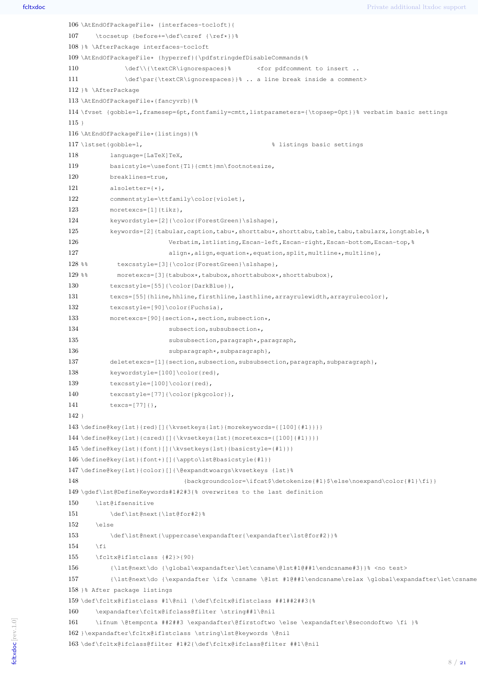```
106 \AtEndOfPackageFile* {interfaces-tocloft}{
107 \tocsetup {before+=\def\csref {\ref*}}%
108 }% \AfterPackage interfaces-tocloft
109 \AtEndOfPackageFile* {hyperref}{\pdfstringdefDisableCommands{%
110 \def\\{\textCR\ignorespaces}% <for pdfcomment to insert ..
111 \def\par{\textCR\ignorespaces}}% .. a line break inside a comment>
112 }% \AfterPackage
113 \AtEndOfPackageFile*{fancyvrb}{%
114 \fvset {gobble=1,framesep=6pt,fontfamily=cmtt,listparameters={\topsep=0pt}}% verbatim basic settings
115 }
116 \AtEndOfPackageFile*{listings}{%
117 \lstset{gobble=1, % listings basic settings
118 language=[LaTeX]TeX,
119 basicstyle=\usefont{T1}{cmtt}mn\footnotesize,
120 breaklines=true,
121 alsoletter={*},
122 commentstyle=\ttfamily\color{violet},
123 moretexcs=[1]{tikz},
124 keywordstyle=[2]{\color{ForestGreen}\slshape},
125 keywords=[2]{tabular,caption,tabu*,shorttabu*,shorttabu,table,tabu,tabularx,longtable,%
126 Verbatim, lstlisting, Escan-left, Escan-right, Escan-bottom, Escan-top, &
127 align*,align,equation*,equation,split,multline*,multline},
128 %% texcsstyle=[3]{\color{ForestGreen}\slshape},
129 %% moretexcs=[3]{tabubox*,tabubox,shorttabubox*,shorttabubox},
130 texcsstyle=[55]{\color{DarkBlue}},
131 texcs=[55]{hline,hhline,firsthline,lasthline,arrayrulewidth,arrayrulecolor},
132 texcsstyle=[90]\color{Fuchsia},
133 moretexcs=[90]{section*, section, subsection*,
134 subsection, subsubsection*,
135 subsubsection, paragraph *, paragraph,
136 subparagraph*, subparagraph},
137 deletetexcs=[1]{section,subsection,subsubsection,paragraph,subparagraph},
138 keywordstyle=[100]\color{red},
139 texcsstyle=[100]\color{red},
140 texcsstyle=[77]{\color{pkgcolor}},
141 texcs=[77]{},
142 }
143 \define@key{lst}{red}[]{\kvsetkeys{lst}{morekeywords={[100]{#1}}}}
144 \define@key{lst}{csred}[]{\kvsetkeys{lst}{moretexcs={[100]{#1}}}}
145 \define@key{lst}{font}[]{\kvsetkeys{lst}{basicstyle={#1}}}
146 \define@key{lst}{font+}[]{\appto\lst@basicstyle{#1}}
147 \define@key{lst}{color}[]{\@expandtwoargs\kvsetkeys {lst}%
148 {backgroundcolor=\ifcat$\detokenize{#1}$\else\noexpand\color{#1}\fi}}
149 \gdef\lst@DefineKeywords#1#2#3{% overwrites to the last definition
150 \lst@ifsensitive
151 \def\lst@next{\lst@for#2}%
152 \rightarrow \text{keles}153 \def\lst@next{\uppercase\expandafter{\expandafter\lst@for#2}}%
154 \fi
155 \fcltx@iflstclass {#2}>{90}
156 {\lst@next\do {\global\expandafter\let\csname\@lst#1@##1\endcsname#3}}% <no test>
157 {\lst@next\do {\expandafter \ifx \csname \@lst #1@##1\endcsname\relax \global\expandafter\let\csname
158 }% After package listings
159 \def\fcltx@iflstclass #1\@nil {\def\fcltx@iflstclass ##1##2##3{%
160 \expandafter\fcltx@ifclass@filter \string##1\@nil
161 \ifnum \@tempcnta ##2##3 \expandafter\@firstoftwo \else \expandafter\@secondoftwo \fi }%
162 }\expandafter\fcltx@iflstclass \string\lst@keywords \@nil
163 \def\fcltx@ifclass@filter #1#2{\def\fcltx@ifclass@filter ##1\@nil
```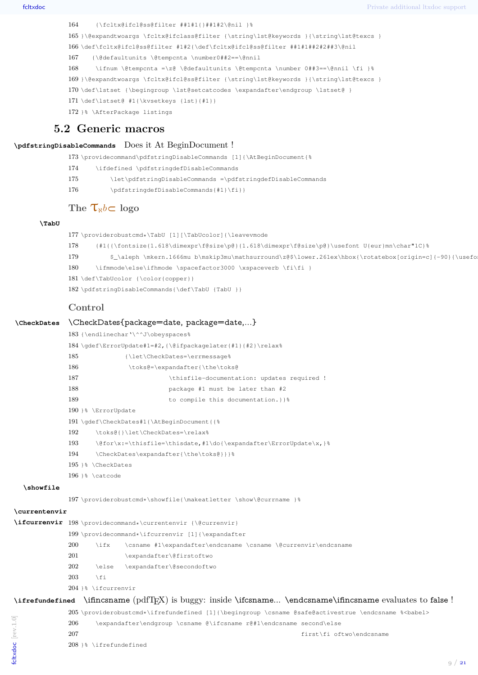```
164 {\fcltx@ifcl@ss@filter ##1#1{}##1#2\@nil }%
165 }\@expandtwoargs \fcltx@ifclass@filter {\string\lst@keywords }{\string\lst@texcs }
166 \def\fcltx@ifcl@ss@filter #1#2{\def\fcltx@ifcl@ss@filter ##1#1##2#2##3\@nil
167 {\@defaultunits \@tempcnta \number0##2==\@nnil
168 \ifnum \@tempcnta =\z@ \@defaultunits \@tempcnta \number 0##3==\@nnil \fi }%
169 }\@expandtwoargs \fcltx@ifcl@ss@filter {\string\lst@keywords }{\string\lst@texcs }
170 \def\lstset {\begingroup \lst@setcatcodes \expandafter\endgroup \lstset@ }
171 \def\lstset@ #1{\kvsetkeys {lst}{#1}}
172 }% \AfterPackage listings
```
### <span id="page-8-0"></span>**5.2 Generic macros**

#### **\pdfstringDisableCommands** Does it At BeginDocument !

\providecommand\pdfstringDisableCommands [1]{\AtBeginDocument{%

- \ifdefined \pdfstringdefDisableCommands
- \let\pdfstringDisableCommands =\pdfstringdefDisableCommands
- \pdfstringdefDisableCommands{#1}\fi}}

## **The**  $\tau_k$ *b*⊂ logo

#### **\TabU**

 \providerobustcmd\*\TabU [1][\TabUcolor]{\leavevmode {#1{{\fontsize{1.618\dimexpr\f@size\p@}{1.618\dimexpr\f@size\p@}\usefont U{eur}mn\char"1C}% 179 \$\_\aleph \mkern.1666mu b\mskip3mu\mathsurround\z@\$\lower.261ex\hbox{\rotatebox[origin=c]{-90}{\usefo 180 \ifmmode\else\ifhmode \spacefactor3000 \xspaceverb \fi\fi } \def\TabUcolor {\color{copper}} \pdfstringDisableCommands{\def\TabU {TabU }}

#### **Control**

#### **\CheckDates** \CheckDates{package=date, package=date,...}

|               | 183 {\endlinechar'\^^J\obeyspaces%                                                                              |
|---------------|-----------------------------------------------------------------------------------------------------------------|
|               | 184 \qdef\ErrorUpdate#1=#2,{\@ifpackaqelater{#1}{#2}\relax%                                                     |
| 185           | {\let\CheckDates=\errmessage%                                                                                   |
| 186           | \toks@=\expandafter{\the\toks@                                                                                  |
| 187           | \thisfile-documentation: updates required !                                                                     |
| 188           | package #1 must be later than #2                                                                                |
| 189           | to compile this documentation. } } &                                                                            |
|               | 190 }% \ErrorUpdate                                                                                             |
|               | 191 \qdef\CheckDates#1{\AtBeqinDocument{{%                                                                      |
| $\sim$ $\sim$ | the contract of the contract of the contract of the contract of the contract of the contract of the contract of |

192 \toks@{}\let\CheckDates=\relax%

- 193 \@for\x:=\thisfile=\thisdate,#1\do{\expandafter\ErrorUpdate\x,}%
- \CheckDates\expandafter{\the\toks@}}}%
- }% \CheckDates
- }% \catcode

#### **\showfile**

\providerobustcmd\*\showfile{\makeatletter \show\@currname }%

#### **\currentenvir**

```
\ifcurrenvir 198 \providecommand*\currentenvir {\@currenvir}
             199 \providecommand*\ifcurrenvir [1]{\expandafter
             200 \ifx \csname #1\expandafter\endcsname \csname \@currenvir\endcsname
             201 \expandafter\@firstoftwo
             202 \else \expandafter\@secondoftwo
             203 \setminus fi
             204 }% \ifcurrenvir
```
#### **\ifrefundefined** \ifincsname (pdfT<sub>EX</sub>) is buggy: inside \ifcsname... \endcsname\ifincsname evaluates to false !

\providerobustcmd\*\ifrefundefined [1]{\begingroup \csname @safe@activestrue \endcsname %<babel>

\expandafter\endgroup \csname @\ifcsname r@#1\endcsname second\else

- first\fi oftwo\endcsname
- }% \ifrefundefined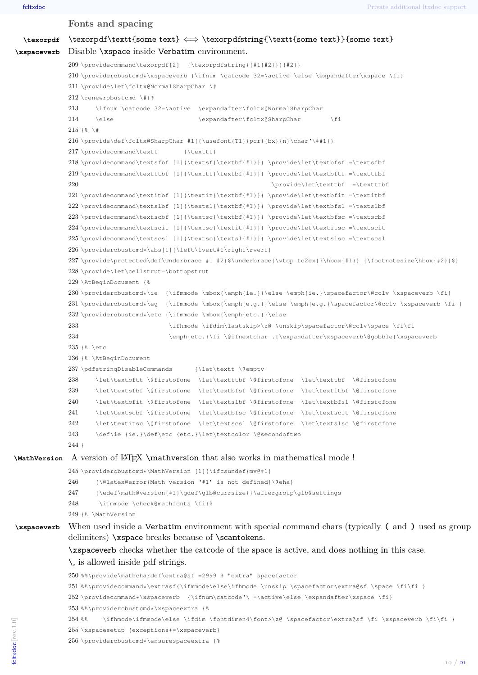```
Fonts and spacing
   \texorpdf \texorpdf\textt{some text} \leftrightarrow \texorpdfstring{\textt{some text}}{some text}
\xspaceverb Disable \xspace inside Verbatim environment.
               209 \providecommand\texorpdf[2] {\texorpdfstring{{#1{#2}}}{#2}}
               210 \providerobustcmd*\xspaceverb {\ifnum \catcode 32=\active \else \expandafter\xspace \fi}
               211 \provide\let\fcltx@NormalSharpChar \#
               212 \renewrobustcmd \#{%
               213 \ifnum \catcode 32=\active \expandafter\fcltx@NormalSharpChar
               214 \else \expandafter\fcltx@SharpChar \fi
               215 }% \#
               216 \provide\def\fcltx@SharpChar #1{{\usefont{T1}{pcr}{bx}{n}\char'\##1}}
               217 \providecommand\textt {\texttt}
               218 \providecommand\textsfbf [1]{\textsf{\textbf{#1}}} \provide\let\textbfsf =\textsfbf
               219 \providecommand\textttbf [1]{\texttt{\textbf{#1}}} \provide\let\textbftt =\textttbf
               220 \provide\let\texttbf =\textttbf
               221 \providecommand\textitbf [1]{\textit{\textbf{#1}}} \provide\let\textbfit =\textitbf
               222 \providecommand\textslbf [1]{\textsl{\textbf{#1}}} \provide\let\textbfsl =\textslbf
               223 \providecommand\textscbf [1]{\textsc{\textbf{#1}}} \provide\let\textbfsc =\textscbf
               224 \providecommand\textscit [1]{\textsc{\textit{#1}}} \provide\let\textitsc =\textscit
               225 \providecommand\textscsl [1]{\textsc{\textsl{#1}}} \provide\let\textslsc =\textscsl
               226 \providerobustcmd*\abs[1]{\left\lvert#1\right\rvert}
               227 \provide\protected\def\Underbrace #1_#2{$\underbrace{\vtop to2ex{}\hbox{#1}}_{\footnotesize\hbox{#2}}$}
               228 \provide\let\cellstrut=\bottopstrut
               229 \AtBeginDocument {%
               230 \providerobustcmd*\ie {\ifmmode \mbox{\emph{ie.}}\else \emph{ie.}\spacefactor\@cclv \xspaceverb \fi}
               231 \text{ to be a } \ifmmode{\kappa\epsilon\;p\bar{k},\kappa\;p\bar{k},\kappa\;p\bar{k},\kappa\;p\bar{k},\kappa\;p\bar{k},\kappa\;p\bar{k},\kappa\;p\bar{k},\kappa\;p\bar{k},\kappa\;p\bar{k},\kappa\;p\bar{k},\kappa\;p\bar{k},\kappa\;p\bar{k},\kappa\;p\bar{k},\kappa\;p\bar{k},\kappa\;p\bar{k},\kappa\;p\bar{k},\kappa\;p\bar{k},\kappa\;p\bar{k},\kappa\;p\bar{k},\kappa\;p\bar{k},\kappa\232 \providerobustcmd*\etc {\ifmmode \mbox{\emph{etc.}}\else
               233 \ifhmode \ifdim\lastskip>\z@ \unskip\spacefactor\@cclv\space \fi\fi
               234 \emph{etc.}\fi \@ifnextchar .{\expandafter\xspaceverb\@gobble}\xspaceverb
               235 }% \etc
               236 }% \AtBeginDocument
               237 \pdfstringDisableCommands {\let\textt \@empty
               238 \let\textbftt \@firstofone \let\textttbf \@firstofone \let\texttbf \@firstofone
               239 \let\textsfbf \@firstofone \let\textbfsf \@firstofone \let\textitbf \@firstofone
               240 \let\textbfit \@firstofone \let\textslbf \@firstofone \let\textbfsl \@firstofone
               241 \let\textscbf \@firstofone \let\textbfsc \@firstofone \let\textscit \@firstofone
               242 \let\textitsc \@firstofone \let\textscsl \@firstofone \let\textslsc \@firstofone
               243 \def\ie {ie.}\def\etc {etc.}\let\textcolor \@secondoftwo
               244 }
\MathVersion A version of LATEX \mathversion that also works in mathematical mode !
               245 \providerobustcmd*\MathVersion [1]{\ifcsundef{mv@#1}
               246 {\@latex@error{Math version '#1' is not defined}\@eha}
               247 {\edef\math@version{#1}\gdef\glb@currsize{}\aftergroup\glb@settings
               248 \ifmmode \check@mathfonts \fi}%
               249 }% \MathVersion
\xspaceverb When used inside a Verbatim environment with special command chars (typically ( and ) used as group
               delimiters) \xspace breaks because of \scantokens.
               \xspaceverb checks whether the catcode of the space is active, and does nothing in this case.
               \, is allowed inside pdf strings.
               250 %%\provide\mathchardef\extra@sf =2999 % "extra" spacefactor
               251 %%\providecommand*\extrasf{\ifmmode\else\ifhmode \unskip \spacefactor\extra@sf \space \fi\fi }
               252 \providecommand*\xspaceverb {\ifnum\catcode'\ =\active\else \expandafter\xspace \fi}
               253 %%\providerobustcmd*\xspaceextra {%
               254 %% \ifhmode\ifmmode\else \ifdim \fontdimen4\font>\z@ \spacefactor\extra@sf \fi \xspaceverb \fi\fi }
               255 \xspacesetup {exceptions+=\xspaceverb}
               256 \providerobustcmd*\ensurespaceextra {%
fcltxdoc [rev.1.0]
```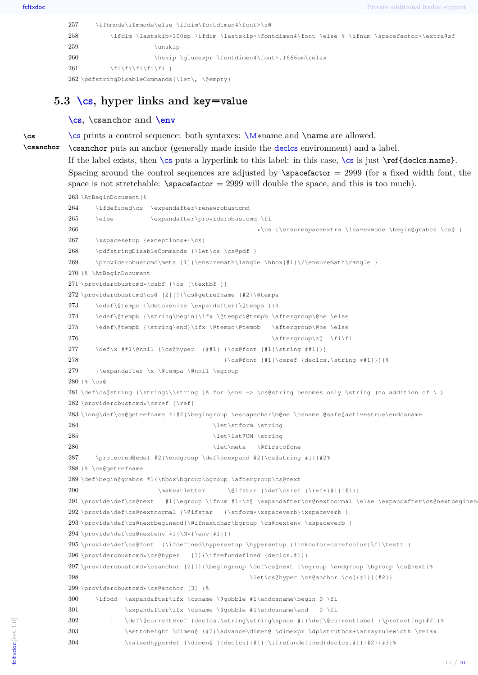**\cs**

```
257 \ifhmode\ifmmode\else \ifdim\fontdimen4\font>\z@
258 \ifdim \lastskip>100sp \ifdim \lastskip>\fontdimen4\font \else % \ifnum \spacefactor<\extra@sf
259 \unskip
260 \hskip \glueexpr \fontdimen4\font+.1666em\relax
261 \fi\fi\fi\fi\fi\fi
262 \pdfstringDisableCommands{\let\, \@empty}
```
## <span id="page-10-0"></span>**5.3 [\cs](#page-0-1), hyper links and key=value**

#### **[\cs](#page-0-1), \csanchor and [\env](#page-1-0)**

[\cs](#page-0-1) prints a control sequence: both syntaxes: [\M](#page-1-1)∗name and \name are allowed.

**\csanchor** \csanchor puts an anchor (generally made inside the [declcs](#page-2-1) environment) and a label.

> If the label exists, then  $\csin$  $\csin$  puts a hyperlink to this label: in this case,  $\csin$  is just  $\ref{deccs.name}.$ Spacing around the control sequences are adjusted by  $\simeq$  2999 (for a fixed width font, the space is not stretchable:  $\simeq$  1999 will double the space, and this is too much).

```
263 \AtBeginDocument{%
264 \ifdefined\cs \expandafter\renewrobustcmd
265 \else \expandafter\providerobustcmd \fi
266 *\cs {\ensurespaceextra \leavevmode \begin@grabcs \cs@ }
267 \xspacesetup {exceptions+=\cs}
268 \pdfstringDisableCommands {\let\cs \cs@pdf }
269 \providerobustcmd\meta [1]{\ensuremath\langle \hbox{#1}\/\ensuremath\rangle }
270 }% \AtBeginDocument
271 \providerobustcmd*\csbf {\cs [\textbf ]}
272 \providerobustcmd\cs@ [2][]{\cs@getrefname {#2}\@tempa
273 \edef\@tempc {\detokenize \expandafter{\@tempa }}%
274 \edef\@tempb {\string\begin}\ifx \@tempc\@tempb \aftergroup\@ne \else
275 \edef\@tempb {\string\end}\ifx \@tempc\@tempb \aftergroup\@ne \else
276 \{\text{argroup}\zeta\ \{f\}\277 \def\x ##1\@nnil {\cs@hyper {##1} {\cs@font {#1{\string ##1}}}
278 {\cscofont {#1}{\cscof,\string #1}}\}279 }\expandafter \x \@tempa \@nnil \egroup
280 }% \cs@
281 \def\cs@string {\string\\\string }% for \env => \cs@string becomes only \string (no addition of \ )
282 \providerobustcmd*\csref {\ref}
283 \long\def\cs@getrefname #1#2{\begingroup \escapechar\m@ne \csname @safe@activestrue\endcsname
284 \let\stform \string
285 \let\lst@UM \string
286 \let\meta \@firstofone
287 \protected@edef #2{\endgroup \def\noexpand #2{\cs@string #1}}#2%
288 }% \cs@getrefname
289 \def\begin@grabcs #1{\hbox\bgroup\bgroup \aftergroup\cs@next
290 \makeatletter \@ifstar {\def\csref {\ref*}#1}{#1}}
291 \provide\def\cs@next #1{\egroup \ifnum #1=\z@ \expandafter\cs@nextnormal \else \expandafter\cs@nextbeginen
292 \provide\def\cs@nextnormal {\@ifstar {\stform*\xspaceverb}\xspaceverb }
293 \provide\def\cs@nextbeginend{\@ifnextchar\bgroup \cs@nextenv \xspaceverb }
294 \provide\def\cs@nextenv #1{\M*{\env{#1}}}
295 \provide\def\cs@font {\ifdefined\hypersetup \hypersetup {linkcolor=csrefcolor}\fi\textt }
296 \providerobustcmd*\cs@hyper [1]{\ifrefundefined {declcs.#1}}
297 \providerobustcmd*\csanchor [2][]{\begingroup \def\cs@next {\egroup \endgroup \bgroup \cs@next}%
298 \let\cs@hyper \cs@anchor \cs[{#1}]{#2}}
299 \providerobustcmd*\cs@anchor [3] {%
300 \ifodd \expandafter\ifx \csname \@gobble #1\endcsname\begin 0 \fi
301 \expandafter\ifx \csname \@gobble #1\endcsname\end 0 \fi
302 1 \def\@currentHref {declcs.\string\string\space #1}\def\@currentlabel {\protecting{#2}}%
303 \settoheight \dimen@ {#2}\advance\dimen@ \dimexpr \dp\strutbox+\arrayrulewidth \relax
304 \raisedhyperdef [\dimen@ ]{declcs}{#1}{\ifrefundefined{declcs.#1}{#2}{#3}%
```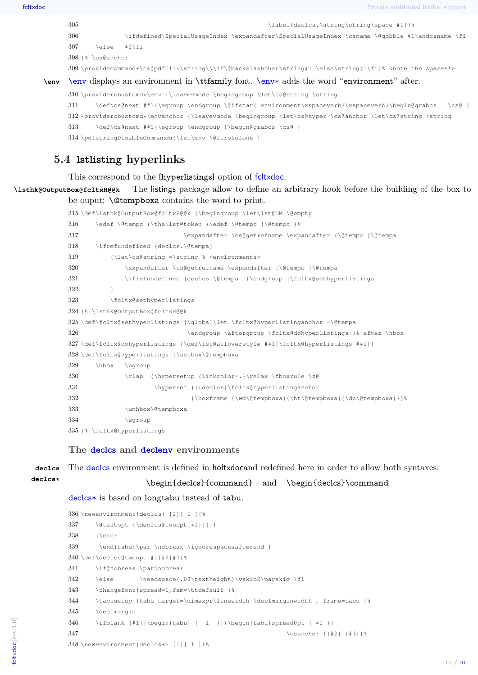fcltxdoc Private additional ltxdoc support

```
305 \label{declcs.\string\string\space #1}}
306 \ifdefined\SpecialUsageIndex \expandafter\SpecialUsageIndex \csname \@gobble #1\endcsname \fi
307 \else #2\fi
308 }% \cs@anchor
309 \providecommand*\cs@pdf[1]{\string\\\if\@backslashchar\string#1 \else\string#1\fi}% <note the spaces!>
```
**\env** [\env](#page-1-0) displays an environment in \ttfamily font. [\env](#page-1-0)∗ adds the word "environment" after.

```
310 \providerobustcmd*\env {\leavevmode \begingroup \let\cs@string \string
311 \def\cs@next ##1{\egroup \endgroup \@ifstar{ environment\xspaceverb}\xspaceverb}\begin@grabcs \cs@ }
312 \providerobustcmd*\envanchor {\leavevmode \begingroup \let\cs@hyper \cs@anchor \let\cs@string \string
313 \def\cs@next ##1{\egroup \endgroup }\begin@grabcs \cs@ }
314 \pdfstringDisableCommands{\let\env \@firstofone }
```
## <span id="page-11-0"></span>**5.4 lstlisting hyperlinks**

This correspond to the [hyperlistings] option of fcltxdoc.

**\lsthk@OutputBox@fcltxH@@k** The listings package allow to define an arbitrary hook before the building of the box to be ouput: \@tempboxa contains the word to print.

```
315 \def\lsthk@OutputBox@fcltxH@@k {\begingroup \let\lst@UM \@empty
316 \edef \@tempc {\the\lst@token }\edef \@tempc {\@tempc }%
317 \expandafter \cs@getrefname \expandafter {\@tempc }\@tempa
318 \ifrefundefined {declcs.\@tempa}
319 {\let\cs@string =\string % <environments>
320 \expandafter \cs@getrefname \expandafter {\@tempc }\@tempa
321 \ifrefundefined {declcs.\@tempa }{\endgroup }\fcltx@sethyperlistings
322 }
323 \fcltx@sethyperlistings
324 }% \lsthk@OutputBox@fcltxH@@k
325 \def\clap{{\rm ^{\hspace*{0.1cm}\hspace*{0.1cm}\hspace*{0.1cm}}} 325 \def\clap{{\rm ^{\hspace*{0.1cm}\hspace*{0.1cm}\hspace*{0.1cm}\hspace*{0.1cm}}} 325 \def\clap{{\rm ^{\hspace*{0.1cm}\hspace*{0.1cm}\hspace*{0.1cm}\hspace*{0.1cm}}} 325 \def\clap{{\rm ^{\hspace*{0.1cm}\hspace*{0.1cm}\hspace*{0.1cm}\hspace*{0.1cm}}} 325 \def\clap{{\rm ^{\hspace*{0.1cm}\hspace*{0.1326 \endgroup \aftergroup \fcltx@dohyperlistings }% after \hbox
327 \def\fcltx@dohyperlistings {\def\lst@alloverstyle ##1{\fcltx@hyperlistings ##1}}
328 \def\fcltx@hyperlistings {\setbox\@tempboxa
329 \hbox \bgroup
330 \rlap {\hypersetup {linkcolor=.}\relax \fboxrule \z@
331 \hyperref {}{declcs}\fcltx@hyperlistinganchor
332 {\boxframe {\wd\@tempboxa}{\ht\@tempboxa}{\dp\@tempboxa}}}%
333 \unhbox\@tempboxa
334 \egroup
335 }% \fcltx@hyperlistings
```
#### **The [declcs](#page-2-1) and [declenv](#page-2-2) environments**

**declcs** The [declcs](#page-2-1) environment is defined in holtxdocand redefined here in order to allow both syntaxes:

\begin{declcs}{command} and \begin{declcs}\command

[declcs\\*](#page-2-4) is based on longtabu instead of tabu.

```
336 \newenvironment{declcs} [1][ l ]{%
337 \@testopt {\declcs@twoopt{#1}}{}}
338 {\crcr
339 \end{tabu}\par \nobreak \ignorespacesafterend }
340 \def\declcs@twoopt #1[#2]#3{%
341 \if@nobreak \par\nobreak
342 \else \needspace{.08\textheight}\vskip2\parskip \fi
343 \changefont{spread=1,fam=\ttdefault }%
344 \tabusetup {tabu target=\dimexpr\linewidth-\declmarginwidth , frame=tabu }%
345 \declmargin
346 \ifblank {#1}{\begin{tabu} { l }}{\begin{tabu}spread0pt { #1 }}
347 \csanchor ({42}}({43})348 \newenvironment{declcs*} [1][ l ]{%
```
**declcs\***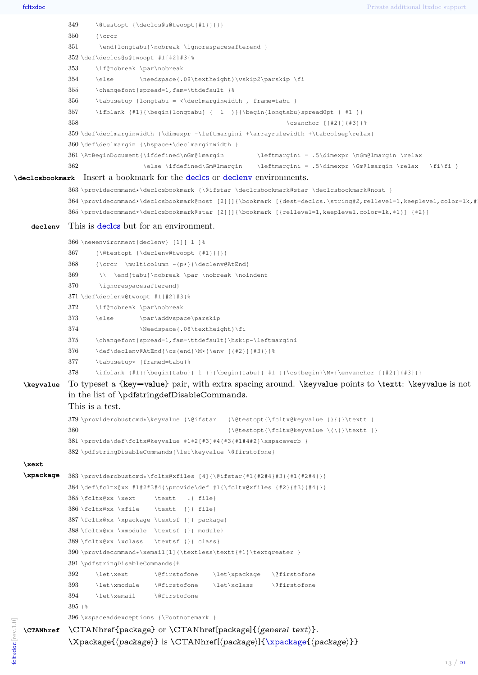/ *[21](#page-20-2)*

```
349 \@testopt {\declcs@s@twoopt{#1}}{}}
              350 {\crcr
              351 \end{longtabu}\nobreak \ignorespacesafterend }
              352 \def\declcs@s@twoopt #1[#2]#3{%
              353 \if@nobreak \par\nobreak
              354 \else \needspace{.08\textheight}\vskip2\parskip \fi
              355 \changefont{spread=1,fam=\ttdefault }%
              356 \tabusetup {longtabu = \dfrac{\d{rame=tabu }
              357 \ifblank {#1}{\begin{longtabu} { l }}{\begin{longtabu}spread0pt { #1 }}
              358 \csanchor [{#2}]{#3}}%
              359 \def\declmarginwidth {\dimexpr -\leftmargini +\arrayrulewidth +\tabcolsep\relax}
              360 \def\declmargin {\hspace*\declmarginwidth }
              361 \AtBeginDocument{\ifdefined\nGm@lmargin \leftmargini = .5\dimexpr \nGm@lmargin \relax
              362 \else \ifdefined\Gm@lmargin \leftmargini = .5\dimexpr \Gm@lmargin \relax \fi\fi }
\declcsbookmark Insert a bookmark for the declcs or declenv environments.
              363 \providecommand*\declcsbookmark {\@ifstar \declcsbookmark@star \declcsbookmark@nost }
              364 \providecommand*\declcsbookmark@nost [2][]{\bookmark [{dest=declcs.\string#2,rellevel=1,keeplevel,color=lk,#
              365 \providecommand*\declcsbookmark@star [2][]{\bookmark [{rellevel=1,keeplevel,color=lk,#1}] {#2}}
     declenv This is decles but for an environment.
              366 \newenvironment{declenv} [1][ l ]%
              367 {\@testopt {\declenv@twoopt {#1}}{}}
              368 {\crcr \multicolumn -{p*}{\declenv@AtEnd}
              369 \\ \end{tabu}\nobreak \par \nobreak \noindent
              370 \ignorespacesafterend}
              371 \def\declenv@twoopt #1[#2]#3{%
              372 \if@nobreak \par\nobreak
              373 \else \par\addvspace\parskip
              374 \Needspace{.08\textheight}\fi
              375 \changefont{spread=1,fam=\ttdefault}\hskip-\leftmargini
              376 \def\declenv@AtEnd{\cs{end}\M*{\env [{#2}]{#3}}}%
              377 \tabusetup* {framed=tabu}%
              378 \ifblank {#1}{\begin{tabu}{ l }}{\begin{tabu}{ #1 }}\cs{begin}\M*{\envanchor [{#2}]{#3}}}
   \keyvalue To typeset a {key=value} pair, with extra spacing around. \keyvalue points to \textt: \keyvalue is not
              in the list of \pdfstringdefDisableCommands.
              This is a test.
              379 \providerobustcmd*\keyvalue {\@ifstar {\@testopt{\fcltx@keyvalue {}{}}\textt }
              380 <br>
{\@testopt{\fcltx@keyvalue \{\}}\textt }}
              381 \provide\def\fcltx@keyvalue #1#2[#3]#4{#3{#1#4#2}\xspaceverb }
              382 \pdfstringDisableCommands{\let\keyvalue \@firstofone}
   \xext
   \xpackage 383 \providerobustcmd*\fcltx@xfiles [4]{\@ifstar{#1{#2#4}#3}{#1{#2#4}}}
              384 \def\fcltx@xx #1#2#3#4{\provide\def #1{\fcltx@xfiles {#2}{#3}{#4}}}
              385 \fcltx@xx \xext \textt .{ file}
              386 \fcltx@xx \xfile \textt {}{ file}
              387 \fcltx@xx \xpackage \textsf {}{ package}
              388 \fcltx@xx \xmodule \textsf {}{ module}
              389 \fcltx@xx \xclass \textsf {}{ class}
              390 \providecommand*\xemail[1]{\textless\textt{#1}\textgreater }
              391 \pdfstringDisableCommands{%
              392 \let\xext \@firstofone \let\xpackage \@firstofone
              393 \let\xmodule \@firstofone \let\xclass \@firstofone
              394 \let\xemail \@firstofone
              395 } %
              396 \xspaceaddexceptions {\Footnotemark }
fcltxdoc [rev.1.0]
ctxdoc rev.1.0
   \text{CTANhref}\quad \CTANhref{package} or \CTANhref{package]}{general text}.\Xpackage{\package} is \CTANhref{(<i>package</i>)}{\xpace{(<i>package</i>)}}}
```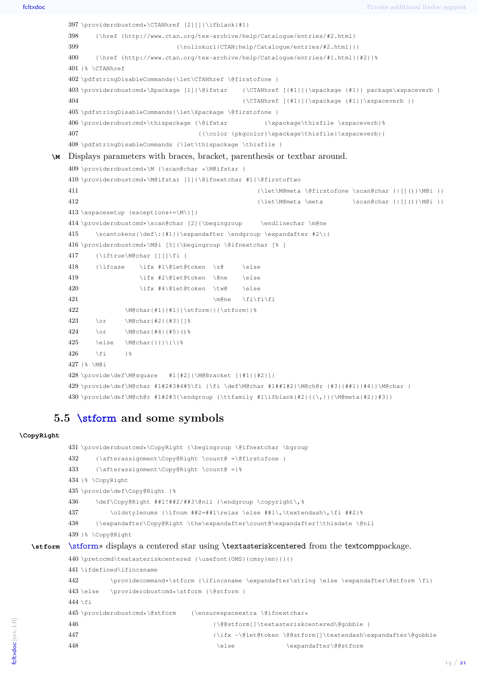```
397 \providerobustcmd*\CTANhref [2][]{\ifblank{#1}
    398 {\href {http://www.ctan.org/tex-archive/help/Catalogue/entries/#2.html}
    399 {\nolinkurl{CTAN:help/Catalogue/entries/#2.html}}}
    400 {\href {http://www.ctan.org/tex-archive/help/Catalogue/entries/#1.html}{#2}}%
   401 \sqrt{3} \CTANhref
   402 \pdfstringDisableCommands{\let\CTANhref \@firstofone }
    403 \providerobustcmd*\Xpackage [1]{\@ifstar {\CTANhref [{#1}]{\xpackage {#1}} package\xspaceverb }
    404 {\CTANInref [{#1}]}{\xpace {#1}}\xspace {#1}405 \pdfstringDisableCommands{\let\Xpackage \@firstofone }
    406 \providerobustcmd*\thispackage {\@ifstar {\xpackage\thisfile \xspaceverb}%
    407 {{\color {pkgcolor}\xpackage\thisfile}\xspaceverb}}
    408 \pdfstringDisableCommands {\let\thispackage \thisfile }
\M Displays parameters with braces, bracket, parenthesis or textbar around.
    409 \providerobustcmd*\M {\scan@char *\M@ifstar }
    410 \providerobustcmd*\M@ifstar [1]{\@ifnextchar #1{\@firstoftwo
   411 {\left\{\{\dagger\}\}\{\dagger\}\}412 {\let\M@meta \meta \scan@char {|[]()}\M@i }}
   413 \xspacesetup {exceptions+=\M\}]}
   414 \providerobustcmd*\scan@char [2]{\begingroup \endlinechar \m@ne
   415 \scantokens{\def\:{#1}}\expandafter \endgroup \expandafter #2\:}
    416 \providerobustcmd*\M@i [5]{\begingroup \@ifnextchar [% ]
   417 {\iftrue\M@char [][]\fi }
    418 {\ifcase \ifx #1\@let@token \z@ \else
   419 \ifx #2\@let@token \@ne \else
    420 \ifx #4\@let@token \tw@ \else
    421 \quad \text{when} \quad \text{if}\ f\text{ is }422 \M@char{#1}{#1}{\stform|}{\stform|}%
    423 \or \M@char{#2}{#3}[]%
   424 \text{ Vor } \text{M@charif}4111\text{H51/1}\text{?}425 \else \M@char{}{}\{\}%
   426 \fi }%
   427 }% \M@i
   428 \provide\def\M@square #1[#2]{\M@Bracket [{#1}{#2}]}
   429 \provide\def\M@char #1#2#3#4#5\fi {\fi \def\M@char #1##1#2{\M@ch@r {#3}{##1}{#4}}\M@char }
   430 \provides \def\@f{\theta\inf} \end{math} + 1+2+3{\endgroup \t\t[1\ifdisplay] \t\t[1\ifdisplay] {\f{\},\}\{\M@meta{\#2}}+3\}
```
### <span id="page-13-0"></span>**5.5 [\stform](#page-2-0) and some symbols**

#### **\CopyRight**

```
431 \providerobustcmd*\CopyRight {\begingroup \@ifnextchar \bgroup
        432 {\afterassignment\Copy@Right \count@ =\@firstofone }
        433 {\afterassignment\Copy@Right \count@ =}%
        434 }% \CopyRight
        435 \provide\def\Copy@Right {%
        436 \def\Copy@Right ##1!##2/##3\@nil {\endgroup \copyright\,%
        437 \oldstylenums {\ifnum ##2=##1\relax \else ##1\,\textendash\,\fi ##2}%
        438 }\expandafter\Copy@Right \the\expandafter\count@\expandafter!\thisdate \@nil
        439 }% \Copy@Right
\stform \stform∗ displays a centered star using \textasteriskcentered from the textcomppackage.
        440 \pretocmd\textasteriskcentered {\usefont{OMS}{cmsy}mn}{}{}
        441 \ifdefined\ifincsname
        442 \providecommand*\stform {\ifincsname \expandafter\string \else \expandafter\@stform \fi}
        443 \else \providerobustcmd*\stform {\@stform }
        444 \fi
        445 \providerobustcmd*\@stform {\ensurespaceextra \@ifnextchar*
        446 {\deg\text{mathrm} \text{}}447 {\iint_{\theta\to\theta} \delta}448 \else \expandafter\@@stform
```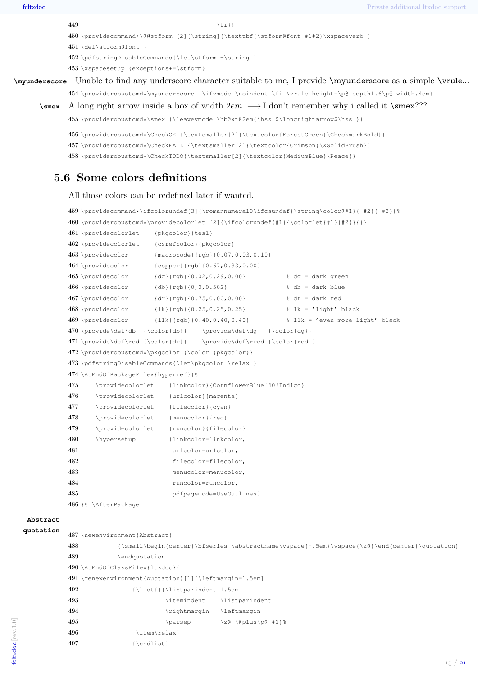\providecommand\*\@@stform [2][\string]{\texttbf{\stform@font #1#2}\xspaceverb }

\def\stform@font{}

\pdfstringDisableCommands{\let\stform =\string }

\xspacesetup {exceptions+=\stform}

**\myunderscore** Unable to find any underscore character suitable to me, I provide \myunderscore as a simple \vrule...

\providerobustcmd\*\myunderscore {\ifvmode \noindent \fi \vrule height-\p@ depth1.6\p@ width.4em}

```
\smex A long right arrow inside a box of width 2em \rightarrow I don't remember why i called it \smex???
```

```
455 \providerobustcmd*\smex {\leavevmode \hb@xt@2em{\hss $\longrightarrow$\hss }}
```
\providerobustcmd\*\CheckOK {\textsmaller[2]{\textcolor{ForestGreen}\CheckmarkBold}}

```
457 \providerobustcmd*\CheckFAIL {\textsmaller[2]{\textcolor{Crimson}\XSolidBrush}}
```
<span id="page-14-0"></span>\providerobustcmd\*\CheckTODO{\textsmaller[2]{\textcolor{MediumBlue}\Peace}}

## **5.6 Some colors definitions**

#### All those colors can be redefined later if wanted.

```
459 \providecommand*\ifcolorundef[3]{\romannumeral0\ifcsundef{\string\color@#1}{ #2}{ #3}}%
460 \providerobustcmd*\providecolorlet [2]{\ifcolorundef{#1}{\colorlet{#1}{#2}}{}}
461 \providecolorlet {pkgcolor}{teal}
462 \providecolorlet {csrefcolor}{pkgcolor}
463 \providecolor {macrocode}{rgb}{0.07,0.03,0.10}
464 \providecolor {copper}{rgb}{0.67,0.33,0.00}
465 \providecolor {dg}{rgb}{0.02,0.29,0.00} % dg = dark green
466 \providecolor {db}{rgb}{0,0,0.502} % db = dark blue
467 \perprovidecolor {dr}{rgb}{0.75,0.00,0.00} % dr = dark red
468 \providecolor {lk}{rgb}{0.25,0.25,0.25} % lk = 'light' black
469 \providecolor {llk}{rgb}{0.40,0.40,0.40} % llk = 'even more light' black
470 \provide\def\db {\color{db}} \provide\def\dg {\color{dg}}
471 \provide\def\red {\color{dr}} \provide\def\rred {\color{red}}
472 \providerobustcmd*\pkgcolor {\color {pkgcolor}}
473 \pdfstringDisableCommands{\let\pkgcolor \relax }
474 \AtEndOfPackageFile*{hyperref}{%
475 \providecolorlet {linkcolor}{CornflowerBlue!40!Indigo}
476 \providecolorlet {urlcolor}{magenta}
477 \providecolorlet {filecolor}{cyan}
478 \providecolorlet {menucolor}{red}
479 \providecolorlet {runcolor}{filecolor}
480 \hypersetup {linkcolor=linkcolor,
481 urlcolor=urlcolor,
482 filecolor=filecolor,
483 menucolor=menucolor,
484 runcolor=runcolor,
485 pdfpagemode=UseOutlines}
486 }% \AfterPackage
```
## **Abstract**

```
quotation
```

```
487 \newenvironment{Abstract}
488 {\small\begin{center}\bfseries \abstractname\vspace{-.5em}\vspace{\z@}\end{center}\quotation}
489 \endquotation
490 \AtEndOfClassFile*{ltxdoc}{
491 \renewenvironment{quotation}[1][\leftmargin=1.5em]
492 {\list{}{\listparindent 1.5em
493 \itemindent \listparindent
494 \rightmargin \leftmargin
495 \text{paresep} \zeta \to \zeta \zeta \to \zeta496 \item\relax}
497 {\endlist}
```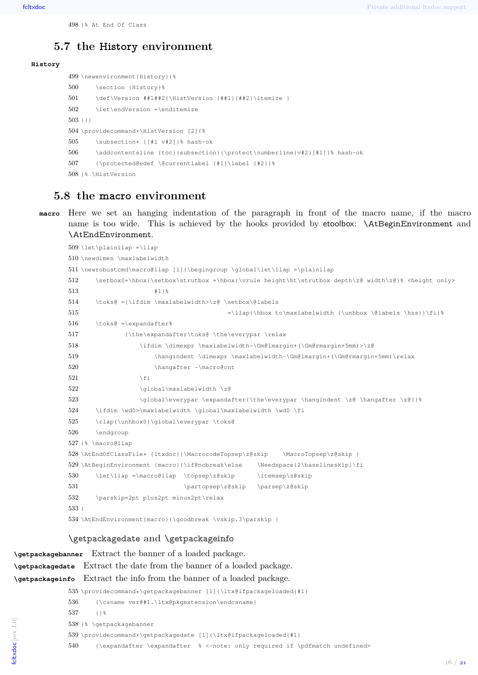## <span id="page-15-0"></span>**5.7 the History environment**

#### **History**

```
499 \newenvironment{History}{%
500 \section {History}%
501 \def\Version ##1##2{\HistVersion {##1}{##2}\itemize }
502 \let\endVersion =\enditemize
503 + {}504 \providecommand*\HistVersion [2]{%
505 \subsection* {[#1 v#2]}% hash-ok
506 \addcontentsline {toc}{subsection}{\protect\numberline{v#2}[#1]}% hash-ok
507 {\protected@edef \@currentlabel {#1}\label {#2}}%
508 18 \HistVersion
```
## <span id="page-15-1"></span>**5.8 the macro environment**

**macro** Here we set an hanging indentation of the paragraph in front of the macro name, if the macro name is too wide. This is achieved by the hooks provided by etoolbox: \AtBeginEnvironment and \AtEndEnvironment.

```
509 \let\plainllap =\llap
510 \newdimen \maxlabelwidth
511 \newrobustcmd\macro@llap [1]{\begingroup \global\let\llap =\plainllap
512 \setbox0=\hbox{\setbox\strutbox =\hbox{\vrule height\ht\strutbox depth\z@ width\z@}% <height only>
513 #1}%
514 \toks@ ={\ifdim \maxlabelwidth>\z@ \setbox\@labels
515 =\llan{\hbox{x to\maxlabel} with a certain solution to\max{\tanh{\nu}} \leq 5516 \t\t \text{toks@ =\expandafter%}517 {\the\expandafter\toks@ \the\everypar \relax
518 \ifdim \dimexpr \maxlabelwidth-\Gm@lmargin+(\Gm@rmargin+5mm)>\z@
519 \hangindent \dimexpr \maxlabelwidth-\Gm@lmargin+(\Gm@rmargin+5mm)\relax
520 \hangafter -\macro@cnt
521 \qquad \qquad \setminus \text{fi}522 \qlobal\maxlabelwidth \z@
523 \global\everypar \expandafter{\the\everypar \hangindent \z@ \hangafter \z@}}%
524 \ifdim \wd0>\maxlabelwidth \global\maxlabelwidth \wd0 \fi
525 \rlap{\unhbox0}\global\everypar \toks@
526 \endgroup
527 }% \macro@llap
528 \AtEndOfClassFile* {ltxdoc}{\MacrocodeTopsep\z@skip \MacroTopsep\z@skip }
529 \AtBeginEnvironment {macro}{\if@nobreak\else \Needspace{2\baselineskip}\fi
530 \let\llap =\macro@llap \topsep\z@skip \itemsep\z@skip
531 \partopsep\z@skip \parsep\z@skip
532 \parskip=2pt plus2pt minus2pt\relax
533 }
534 \AtEndEnvironment{macro}{\goodbreak \vskip.3\parskip }
```
## **\getpackagedate and \getpackageinfo**

```
\getpackagebanner Extract the banner of a loaded package.
\getpackagedate Extract the date from the banner of a loaded package.
\getpackageinfo Extract the info from the banner of a loaded package.
               535 \providecommand*\getpackagebanner [1]{\ltx@ifpackageloaded{#1}
              536 {\csname ver@#1.\ltx@pkgextension\endcsname}
              537 \{1\}538 }% \getpackagebanner
              539 \providecommand*\getpackagedate [1]{\ltx@ifpackageloaded{#1}
               540 {\expandafter \expandafter % <-note: only required if \pdfmatch undefined>
fcltxdoc [rev.1.0]
```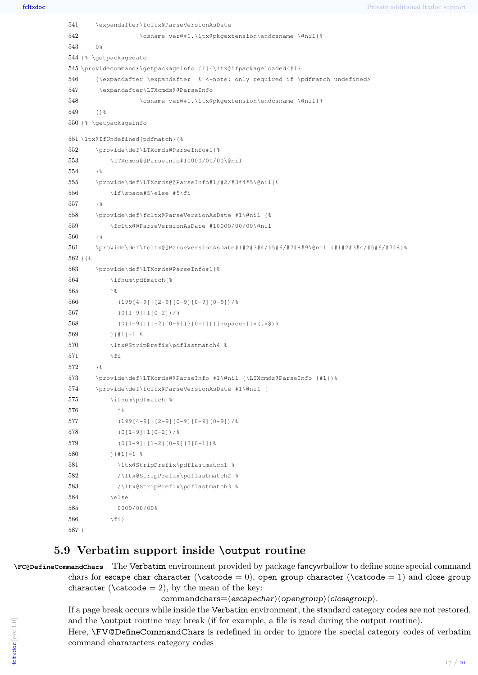```
541 \expandafter\fcltx@ParseVersionAsDate
542 \csname ver@#1.\ltx@pkgextension\endcsname \@nil}%
543 0%
544 }% \getpackagedate
545 \providecommand*\getpackageinfo [1]{\ltx@ifpackageloaded{#1}
546 {\expandafter \expandafter % <-note: only required if \pdfmatch undefined>
547 \expandafter\LTXcmds@@ParseInfo
548 \csname ver@#1.\ltx@pkgextension\endcsname \@nil}%
549 18550 }% \getpackageinfo
551 \ltx@IfUndefined{pdfmatch}{%
552 \provide\def\LTXcmds@ParseInfo#1{%
553 \LTXcmds@@ParseInfo#10000/00/00\@nil
554 } \frac{8}{3}555 \provide\def\LTXcmds@@ParseInfo#1/#2/#3#4#5\@nil{%
556 \if\space#5\else #5\fi
557 } %
558 \provide\def\fcltx@ParseVersionAsDate #1\@nil {%
559 \fcltx@@ParseVersionAsDate #10000/00/00\@nil
560 \rightarrow \frac{6}{5}561 \provide\def\fcltx@@ParseVersionAsDate#1#2#3#4/#5#6/#7#8#9\@nil {#1#2#3#4/#5#6/#7#8}%
562 } { %563 \provide\def\LTXcmds@ParseInfo#1{%
564 \ifnum\pdfmatch{%
565 \sim \frac{8}{3}566 (199[4-9]|[2-9][0-9][0-9][0-9])/%
567 (0[1-9]|1[0-2])/%
568 (0[1-9]|[1-2][0-9]|3[0-1])[[:space:]]*(.*$)%
569 }{#1}=1 %
570 \ltx@StripPrefix\pdflastmatch4 %
571 \setminusfi
572 1%573 \provide\def\LTXcmds@@ParseInfo #1\@nil {\LTXcmds@ParseInfo {#1}}%
574 \provide\def\fcltx@ParseVersionAsDate #1\@nil {
575 \ifnum\pdfmatch{%
576 ^ \frac{8}{3}577 (199[4-9]|[2-9][0-9][0-9][0-9])/%
578 (0[1-9]|1[0-2])/%
579 (0[1-9]|[1-2][0-9]|3[0-1])%
580 }{#1}=1 %
581 \ltx@StripPrefix\pdflastmatch1 %
582 /\ltx@StripPrefix\pdflastmatch2 %
583 /\ltx@StripPrefix\pdflastmatch3 %
584 \else
585 0000/00/00%
586 \quad \text{tri}587 }
```
### <span id="page-16-0"></span>**5.9 Verbatim support inside \output routine**

**\FC@DefineCommandChars** The Verbatim environment provided by package fancyvrballow to define some special command chars for escape char character ( $\text{color} = 0$ ), open group character ( $\text{color} = 1$ ) and close group character ( $\text{catcode} = 2$ ), by the mean of the key:

 $commandchars=\langle escapechar\rangle\langle opengroup\rangle\langle closegroup\rangle.$ 

If a page break occurs while inside the Verbatim environment, the standard category codes are not restored, and the \output routine may break (if for example, a file is read during the output routine).

Here, \FV@DefineCommandChars is redefined in order to ignore the special category codes of verbatim command chararacters category codes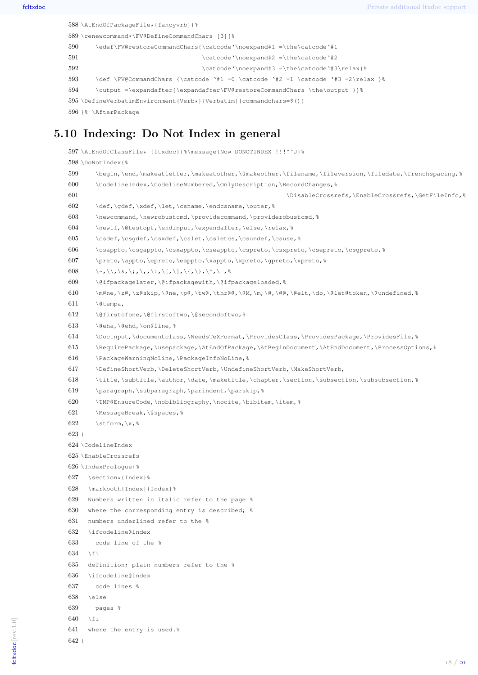```
588 \AtEndOfPackageFile*{fancyvrb}{%
589 \renewcommand*\FV@DefineCommandChars [3]{%
590 \edef\FV@restoreCommandChars{\catcode'\noexpand#1 =\the\catcode'#1
591 \catcode'\noexpand#2 =\the\catcode'#2
592 \catcode'\noexpand#3 =\the\catcode'#3\relax}%
593 \def \FV@CommandChars {\catcode '#1 =0 \catcode '#2 =1 \catcode '#3 =2\relax }%
594 \output =\expandafter{\expandafter\FV@restoreCommandChars \the\output }}%
595 \DefineVerbatimEnvironment{Verb*}{Verbatim}{commandchars=$()}
596 }% \AfterPackage
```
## <span id="page-17-0"></span>**5.10 Indexing: Do Not Index in general**

```
597 \AtEndOfClassFile* {ltxdoc}{%\message{Now DONOTINDEX !!!^^J}%
598 \DoNot Index { %
599 \begin,\end,\makeatletter,\makeatother,\@makeother,\filename,\fileversion,\filedate,\frenchspacing,%
600 \CodelineIndex,\CodelineNumbered,\OnlyDescription,\RecordChanges,%
601 \DisableCrossrefs,\EnableCrossrefs,\GetFileInfo, %
602 \def,\gdef,\xdef,\let,\csname,\endcsname,\outer,%
603 \newcommand,\newrobustcmd,\providecommand,\providerobustcmd,%
604 \newif,\@testopt,\endinput,\expandafter,\else,\relax,%
605 \csdef,\csqdef,\csxdef,\cslet,\csletcs,\csundef,\csuse,%
606 \csappto,\csgappto,\csxappto,\cseappto,\cspreto,\csxpreto,\csepreto,\csgpreto,%
607 \preto,\appto,\epreto,\eappto,\xappto,\xpreto,\gpreto,\xpreto,%
608 \~,\\,\&,\;,\,,\:,\[,\],\{,\},\^,\ , \ \frac{8}{3}609 \@ifpackagelater,\@ifpackagewith,\@ifpackageloaded,%
610 \m@ne,\z@,\z@skip,\@ne,\p@,\tw@,\thr@@,\@M,\m,\@,\@@,\@elt,\do,\@let@token,\@undefined,%
611 \@tempa,
612 \@firstofone,\@firstoftwo,\@secondoftwo,%
613 \@eha,\@ehd,\on@line,%
614 \DocInput,\documentclass,\NeedsTeXFormat,\ProvidesClass,\ProvidesPackage,\ProvidesFile,%
615 \RequirePackage,\usepackage,\AtEndOfPackage,\AtBeginDocument,\AtEndDocument,\ProcessOptions,%
616 \PackageWarningNoLine,\PackageInfoNoLine,%
617 \DefineShortVerb,\DeleteShortVerb,\UndefineShortVerb,\MakeShortVerb,
618 \title,\subtitle,\author,\date,\maketitle,\chapter,\section,\subsection,\subsubsection,%
619 \paragraph,\subparagraph,\parindent,\parskip,%
620 \TMP@EnsureCode,\nobibliography,\nocite,\bibitem,\item,%
621 \MessageBreak, \@spaces, %
622 \stform, x, %
623 }
624 \CodelineIndex
625 \EnableCrossrefs
626 \IndexPrologue{%
627 \section*{Index}%
628 \markboth{Index}{Index}%
629 Numbers written in italic refer to the page %
630 where the corresponding entry is described; %
631 numbers underlined refer to the %
632 \ifcodeline@index
633 code line of the %
634 \fi
635 definition; plain numbers refer to the %
636 \ifcodeline@index
637 code lines %
638 \else
639 pages %
640 \fi
641 where the entry is used.%
```
}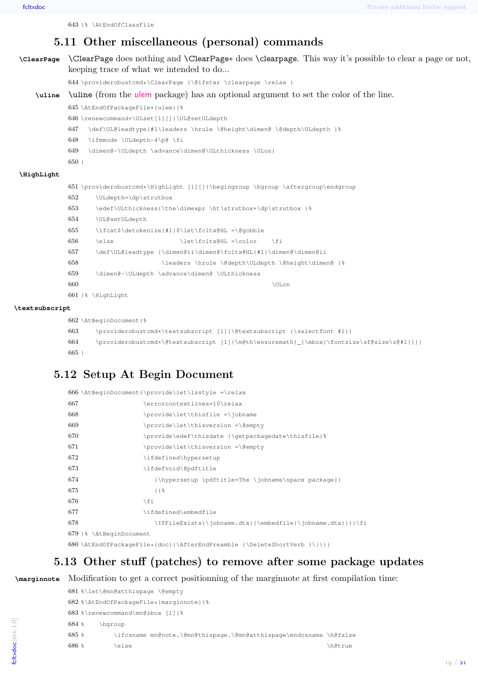<span id="page-18-0"></span>}% \AtEndOfClassFile

## **5.11 Other miscellaneous (personal) commands**

```
\ClearPage \ClearPage does nothing and \ClearPage∗ does \clearpage. This way it's possible to clear a page or not,
            keeping trace of what we intended to do...
            644 \providerobustcmd*\ClearPage {\@ifstar \clearpage \relax }
    \uline \uline (from the ulem package) has an optional argument to set the color of the line.
            645 \AtEndOfPackageFile*{ulem}{%
            646 \renewcommand*\ULset[1][]{\UL@setULdepth
            647 \def\UL@leadtype{#1\leaders \hrule \@height\dimen@ \@depth\ULdepth }%
            648 \ifmmode \ULdepth-4\p@ \fi
            649 \dimen@-\ULdepth \advance\dimen@\ULthickness \ULon}
            650 }
\HighLight
            651 \providerobustcmd*\HighLight [1][]{\begingroup \bgroup \aftergroup\endgroup
            652 \ULdepth=\dp\strutbox
            653 \edef\ULthickness{\the\dimexpr \ht\strutbox+\dp\strutbox }%
            654 \UL@setULdepth
            655 \ifcat$\detokenize{#1}$\let\fcltx@HL =\@gobble
            656 \else \let\fcltx@HL = \colon \ifmmode \colimits \colimits \fi
            657 \def\UL@leadtype {\dimen@ii\dimen@\fcltx@HL{#1}\dimen@\dimen@ii
            658 \leaders \hrule \@depth\ULdepth \@height\dimen@ }%
            659 \dimen@-\ULdepth \advance\dimen@ \ULthickness
            660 \U{Unon}661 }% \HighLight
```
#### **\textsubscript**

```
662 \AtBeginDocument{%
663 \providerobustcmd*\textsubscript [1]{\@textsubscript {\selectfont #1}}
664 \providerobustcmd*\@textsubscript [1]{\m@th\ensuremath{_{\mbox{\fontsize\sf@size\z@#1}}}}
665 }
```
## <span id="page-18-1"></span>**5.12 Setup At Begin Document**

|                                                                         | 666 \AtBeginDocument{\provide\let\lsstyle =\relax          |  |  |  |
|-------------------------------------------------------------------------|------------------------------------------------------------|--|--|--|
| 667                                                                     | \errorcontextlines=10\relax                                |  |  |  |
| 668                                                                     | \provide\let\thisfile =\jobname                            |  |  |  |
| 669                                                                     | \provide\let\thisversion =\@empty                          |  |  |  |
| 670                                                                     | \provide\edef\thisdate {\qetpackaqedate\thisfile}%         |  |  |  |
| 671                                                                     | \provide\let\thisversion =\@empty                          |  |  |  |
| 672                                                                     | \ifdefined\hypersetup                                      |  |  |  |
| 673                                                                     | \ifdefvoid\@pdftitle                                       |  |  |  |
| 674                                                                     | {\hypersetup {pdftitle=The \jobname\space package}}        |  |  |  |
| 675                                                                     | $\{$ } $\$                                                 |  |  |  |
| 676                                                                     | \fi                                                        |  |  |  |
| 677                                                                     | \ifdefined\embedfile                                       |  |  |  |
| 678                                                                     | \IfFileExists{\jobname.dtx}{\embedfile{\jobname.dtx}}{}\fi |  |  |  |
| 679 }% \AtBeginDocument                                                 |                                                            |  |  |  |
| 680\AtEndOfPackageFile*{doc}{\AfterEndPreamble {\DeleteShortVerb {\ }}} |                                                            |  |  |  |

## <span id="page-18-2"></span>**5.13 Other stuff (patches) to remove after some package updates**

**\marginnote** Modification to get a correct positionning of the marginnote at first compilation time:

```
681 %\let\@mn@atthispage \@empty
682 %\AtEndOfPackageFile*{marginnote}{%
683 %\renewcommand\mn@zbox [1]{%
684 % \bgroup
685 % \ifcsname mn@note.\@mn@thispage.\@mn@atthispage\endcsname \h@false
686 % \else \hbox{h\&true}
```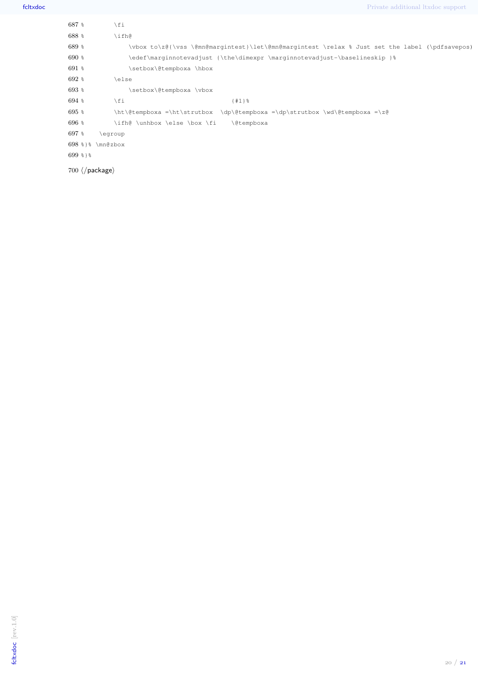| $687$ %    | \fi                                                                       |                                                                                                |  |  |  |
|------------|---------------------------------------------------------------------------|------------------------------------------------------------------------------------------------|--|--|--|
| $688*$     | \ifh@                                                                     |                                                                                                |  |  |  |
| $689$ %    |                                                                           | \vbox to\z@{\vss \@mn@margintest}\let\@mn@margintest \relax % Just set the label (\pdfsavepos) |  |  |  |
| $690*$     | \edef\marqinnotevadjust {\the\dimexpr \marqinnotevadjust-\baselineskip }% |                                                                                                |  |  |  |
| $691$ %    | \setbox\@tempboxa \hbox                                                   |                                                                                                |  |  |  |
| $692*$     | \else                                                                     |                                                                                                |  |  |  |
| $693*$     | \setbox\@tempboxa \vbox                                                   |                                                                                                |  |  |  |
| $694$ %    | \fi                                                                       | ${#1 }$                                                                                        |  |  |  |
| $695*$     |                                                                           | \ht\@tempboxa =\ht\strutbox \dp\@tempboxa =\dp\strutbox \wd\@tempboxa =\z@                     |  |  |  |
| $696*$     | \ifh@ \unhbox \else \box \fi                                              | \@tempboxa                                                                                     |  |  |  |
| $697$ %    | \egroup                                                                   |                                                                                                |  |  |  |
|            | $698$ $\$ \mn@zbox                                                        |                                                                                                |  |  |  |
| $699$ $81$ |                                                                           |                                                                                                |  |  |  |
|            | $700 \ \langle / \text{package} \rangle$                                  |                                                                                                |  |  |  |